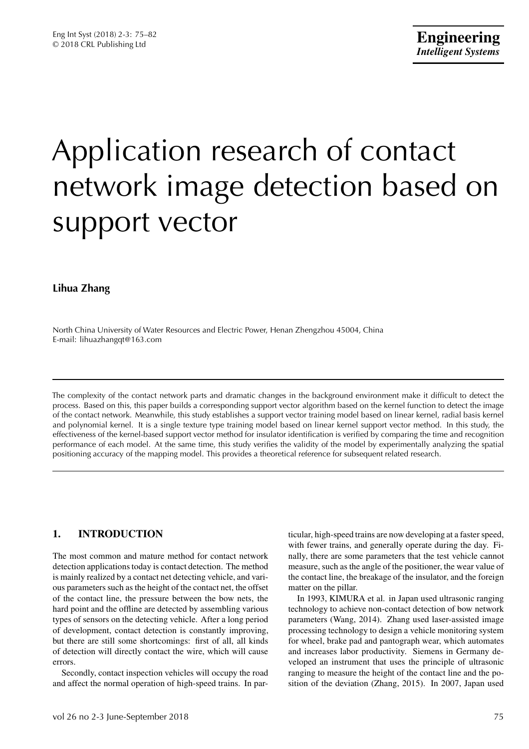# Application research of contact network image detection based on support vector

# **Lihua Zhang**

North China University of Water Resources and Electric Power, Henan Zhengzhou 45004, China E-mail: lihuazhangqt@163.com

The complexity of the contact network parts and dramatic changes in the background environment make it difficult to detect the process. Based on this, this paper builds a corresponding support vector algorithm based on the kernel function to detect the image of the contact network. Meanwhile, this study establishes a support vector training model based on linear kernel, radial basis kernel and polynomial kernel. It is a single texture type training model based on linear kernel support vector method. In this study, the effectiveness of the kernel-based support vector method for insulator identification is verified by comparing the time and recognition performance of each model. At the same time, this study verifies the validity of the model by experimentally analyzing the spatial positioning accuracy of the mapping model. This provides a theoretical reference for subsequent related research.

# **1. INTRODUCTION**

The most common and mature method for contact network detection applications today is contact detection. The method is mainly realized by a contact net detecting vehicle, and various parameters such as the height of the contact net, the offset of the contact line, the pressure between the bow nets, the hard point and the offline are detected by assembling various types of sensors on the detecting vehicle. After a long period of development, contact detection is constantly improving, but there are still some shortcomings: first of all, all kinds of detection will directly contact the wire, which will cause errors.

Secondly, contact inspection vehicles will occupy the road and affect the normal operation of high-speed trains. In particular, high-speed trains are now developing at a faster speed, with fewer trains, and generally operate during the day. Finally, there are some parameters that the test vehicle cannot measure, such as the angle of the positioner, the wear value of the contact line, the breakage of the insulator, and the foreign matter on the pillar.

In 1993, KIMURA et al. in Japan used ultrasonic ranging technology to achieve non-contact detection of bow network parameters (Wang, 2014). Zhang used laser-assisted image processing technology to design a vehicle monitoring system for wheel, brake pad and pantograph wear, which automates and increases labor productivity. Siemens in Germany developed an instrument that uses the principle of ultrasonic ranging to measure the height of the contact line and the position of the deviation (Zhang, 2015). In 2007, Japan used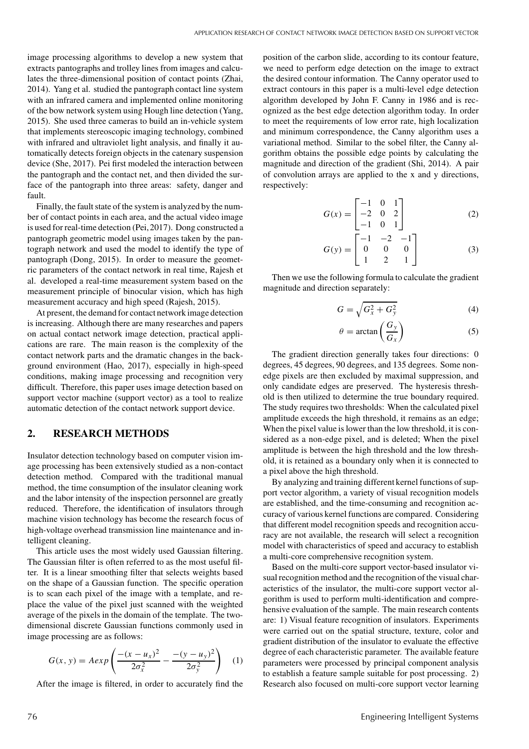image processing algorithms to develop a new system that extracts pantographs and trolley lines from images and calculates the three-dimensional position of contact points (Zhai, 2014). Yang et al. studied the pantograph contact line system with an infrared camera and implemented online monitoring of the bow network system using Hough line detection (Yang, 2015). She used three cameras to build an in-vehicle system that implements stereoscopic imaging technology, combined with infrared and ultraviolet light analysis, and finally it automatically detects foreign objects in the catenary suspension device (She, 2017). Pei first modeled the interaction between the pantograph and the contact net, and then divided the surface of the pantograph into three areas: safety, danger and fault.

Finally, the fault state of the system is analyzed by the number of contact points in each area, and the actual video image is used for real-time detection (Pei, 2017). Dong constructed a pantograph geometric model using images taken by the pantograph network and used the model to identify the type of pantograph (Dong, 2015). In order to measure the geometric parameters of the contact network in real time, Rajesh et al. developed a real-time measurement system based on the measurement principle of binocular vision, which has high measurement accuracy and high speed (Rajesh, 2015).

At present, the demand for contact network image detection is increasing. Although there are many researches and papers on actual contact network image detection, practical applications are rare. The main reason is the complexity of the contact network parts and the dramatic changes in the background environment (Hao, 2017), especially in high-speed conditions, making image processing and recognition very difficult. Therefore, this paper uses image detection based on support vector machine (support vector) as a tool to realize automatic detection of the contact network support device.

## **2. RESEARCH METHODS**

Insulator detection technology based on computer vision image processing has been extensively studied as a non-contact detection method. Compared with the traditional manual method, the time consumption of the insulator cleaning work and the labor intensity of the inspection personnel are greatly reduced. Therefore, the identification of insulators through machine vision technology has become the research focus of high-voltage overhead transmission line maintenance and intelligent cleaning.

This article uses the most widely used Gaussian filtering. The Gaussian filter is often referred to as the most useful filter. It is a linear smoothing filter that selects weights based on the shape of a Gaussian function. The specific operation is to scan each pixel of the image with a template, and replace the value of the pixel just scanned with the weighted average of the pixels in the domain of the template. The twodimensional discrete Gaussian functions commonly used in image processing are as follows:

$$
G(x, y) = A \exp \left( \frac{-(x - u_x)^2}{2\sigma_x^2} - \frac{-(y - u_y)^2}{2\sigma_y^2} \right) \tag{1}
$$

After the image is filtered, in order to accurately find the

position of the carbon slide, according to its contour feature, we need to perform edge detection on the image to extract the desired contour information. The Canny operator used to extract contours in this paper is a multi-level edge detection algorithm developed by John F. Canny in 1986 and is recognized as the best edge detection algorithm today. In order to meet the requirements of low error rate, high localization and minimum correspondence, the Canny algorithm uses a variational method. Similar to the sobel filter, the Canny algorithm obtains the possible edge points by calculating the magnitude and direction of the gradient (Shi, 2014). A pair of convolution arrays are applied to the x and y directions, respectively:

$$
G(x) = \begin{bmatrix} -1 & 0 & 1 \\ -2 & 0 & 2 \\ -1 & 0 & 1 \end{bmatrix}
$$
 (2)

$$
G(y) = \begin{bmatrix} -1 & -2 & -1 \\ 0 & 0 & 0 \\ 1 & 2 & 1 \end{bmatrix}
$$
 (3)

Then we use the following formula to calculate the gradient magnitude and direction separately:

$$
G = \sqrt{G_x^2 + G_y^2} \tag{4}
$$

$$
\theta = \arctan\left(\frac{G_y}{G_x}\right) \tag{5}
$$

The gradient direction generally takes four directions: 0 degrees, 45 degrees, 90 degrees, and 135 degrees. Some nonedge pixels are then excluded by maximal suppression, and only candidate edges are preserved. The hysteresis threshold is then utilized to determine the true boundary required. The study requires two thresholds: When the calculated pixel amplitude exceeds the high threshold, it remains as an edge; When the pixel value is lower than the low threshold, it is considered as a non-edge pixel, and is deleted; When the pixel amplitude is between the high threshold and the low threshold, it is retained as a boundary only when it is connected to a pixel above the high threshold.

By analyzing and training different kernel functions of support vector algorithm, a variety of visual recognition models are established, and the time-consuming and recognition accuracy of various kernel functions are compared. Considering that different model recognition speeds and recognition accuracy are not available, the research will select a recognition model with characteristics of speed and accuracy to establish a multi-core comprehensive recognition system.

Based on the multi-core support vector-based insulator visual recognition method and the recognition of the visual characteristics of the insulator, the multi-core support vector algorithm is used to perform multi-identification and comprehensive evaluation of the sample. The main research contents are: 1) Visual feature recognition of insulators. Experiments were carried out on the spatial structure, texture, color and gradient distribution of the insulator to evaluate the effective degree of each characteristic parameter. The available feature parameters were processed by principal component analysis to establish a feature sample suitable for post processing. 2) Research also focused on multi-core support vector learning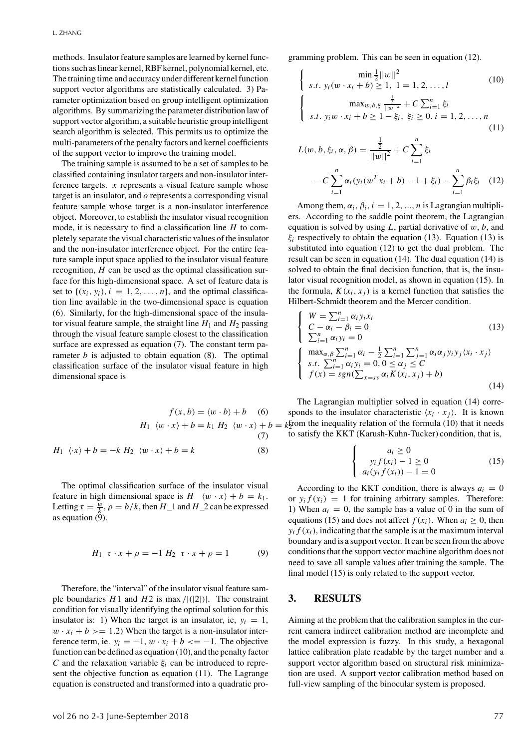methods. Insulator feature samples are learned by kernel functions such as linear kernel, RBF kernel, polynomial kernel, etc. The training time and accuracy under different kernel function support vector algorithms are statistically calculated. 3) Parameter optimization based on group intelligent optimization algorithms. By summarizing the parameter distribution law of support vector algorithm, a suitable heuristic group intelligent search algorithm is selected. This permits us to optimize the multi-parameters of the penalty factors and kernel coefficients of the support vector to improve the training model.

The training sample is assumed to be a set of samples to be classified containing insulator targets and non-insulator interference targets. *x* represents a visual feature sample whose target is an insulator, and *o* represents a corresponding visual feature sample whose target is a non-insulator interference object. Moreover, to establish the insulator visual recognition mode, it is necessary to find a classification line *H* to completely separate the visual characteristic values of the insulator and the non-insulator interference object. For the entire feature sample input space applied to the insulator visual feature recognition, *H* can be used as the optimal classification surface for this high-dimensional space. A set of feature data is set to  $\{(x_i, y_i), i = 1, 2, \ldots, n\}$ , and the optimal classification line available in the two-dimensional space is equation (6). Similarly, for the high-dimensional space of the insulator visual feature sample, the straight line  $H_1$  and  $H_2$  passing through the visual feature sample closest to the classification surface are expressed as equation (7). The constant term parameter *b* is adjusted to obtain equation (8). The optimal classification surface of the insulator visual feature in high dimensional space is

$$
f(x, b) = \langle w \cdot b \rangle + b \quad (6)
$$

$$
H_1 \langle w \cdot x \rangle + b = k_1 H_2 \langle w \cdot x \rangle + b
$$

$$
(7)
$$

$$
H_1 \langle x \rangle + b = -k H_2 \langle w \cdot x \rangle + b = k \quad (8)
$$

The optimal classification surface of the insulator visual feature in high dimensional space is  $H \ (w \cdot x) + b = k_1$ . Letting  $\tau = \frac{w}{k}$ ,  $\rho = b/k$ , then  $H_1$  and  $H_2$  can be expressed as equation  $(\ddot{9})$ .

$$
H_1 \ \tau \cdot x + \rho = -1 \ H_2 \ \tau \cdot x + \rho = 1 \tag{9}
$$

Therefore, the "interval" of the insulator visual feature sample boundaries  $H1$  and  $H2$  is max  $/|(2|)|$ . The constraint condition for visually identifying the optimal solution for this insulator is: 1) When the target is an insulator, ie,  $y_i = 1$ ,  $w \cdot x_i + b \geq 1.2$ ) When the target is a non-insulator interference term, ie.  $y_i = -1$ ,  $w \cdot x_i + b \le -1$ . The objective function can be defined as equation (10), and the penalty factor *C* and the relaxation variable  $\xi$ <sup>*i*</sup> can be introduced to represent the objective function as equation (11). The Lagrange equation is constructed and transformed into a quadratic programming problem. This can be seen in equation (12).

$$
\begin{cases}\n\min_{\frac{1}{2}}||w||^2 \\
s.t. \ y_i(w \cdot x_i + b) \ge 1, \ 1 = 1, 2, \dots, l \\
\max_{w, b, \xi} \frac{\frac{1}{2}}{||w||^2} + C \sum_{i=1}^n \xi_i \\
s.t. \ y_i w \cdot x_i + b \ge 1 - \xi_i, \ \xi_i \ge 0. \ i = 1, 2, \dots, n\n\end{cases}
$$
\n(10)

$$
L(w, b, \xi_i, \alpha, \beta) = \frac{\frac{1}{2}}{||w||^2} + C \sum_{i=1}^n \xi_i
$$
  
- 
$$
C \sum_{i=1}^n \alpha_i (y_i (w^T x_i + b) - 1 + \xi_i) - \sum_{i=1}^n \beta_i \xi_i
$$
 (12)

Among them,  $\alpha_i$ ,  $\beta_i$ ,  $i = 1, 2, ..., n$  is Lagrangian multipliers. According to the saddle point theorem, the Lagrangian equation is solved by using *L*, partial derivative of w, *b*, and  $\xi$ *i* respectively to obtain the equation (13). Equation (13) is substituted into equation (12) to get the dual problem. The result can be seen in equation (14). The dual equation (14) is solved to obtain the final decision function, that is, the insulator visual recognition model, as shown in equation (15). In the formula,  $K(x_i, x_j)$  is a kernel function that satisfies the Hilbert-Schmidt theorem and the Mercer condition.

$$
\begin{cases}\nW = \sum_{i=1}^{n} \alpha_i y_i x_i \\
C - \alpha_i - \beta_i = 0 \\
\sum_{i=1}^{n} \alpha_i y_i = 0\n\end{cases}
$$
\n
$$
\begin{cases}\n\max_{\alpha, \beta} \sum_{i=1}^{n} \alpha_i - \frac{1}{2} \sum_{i=1}^{n} \sum_{j=1}^{n} \alpha_i \alpha_j y_i y_j \langle x_i \cdot x_j \rangle \\
s.t. \sum_{i=1}^{n} \alpha_i y_i = 0, 0 \le \alpha_j \le C \\
f(x) = sgn(\sum_{x=sv} \alpha_i K(x_i, x_j) + b)\n\end{cases}
$$
\n(14)

 $w \cdot x$  + *b* = *k*<sup>1</sup>/<sub>2</sub> tom the inequality relation of the formula (10) that it needs The Lagrangian multiplier solved in equation (14) corresponds to the insulator characteristic  $\langle x_i \cdot x_j \rangle$ . It is known to satisfy the KKT (Karush-Kuhn-Tucker) condition, that is,

$$
\begin{cases}\n a_i \ge 0 \\
 y_i f(x_i) - 1 \ge 0 \\
 a_i (y_i f(x_i)) - 1 = 0\n\end{cases}
$$
\n(15)

According to the KKT condition, there is always  $a_i = 0$ or  $y_i f(x_i) = 1$  for training arbitrary samples. Therefore: 1) When  $a_i = 0$ , the sample has a value of 0 in the sum of equations (15) and does not affect  $f(x_i)$ . When  $a_i \geq 0$ , then  $y_i f(x_i)$ , indicating that the sample is at the maximum interval boundary and is a support vector. It can be seen from the above conditions that the support vector machine algorithm does not need to save all sample values after training the sample. The final model (15) is only related to the support vector.

## **3. RESULTS**

Aiming at the problem that the calibration samples in the current camera indirect calibration method are incomplete and the model expression is fuzzy. In this study, a hexagonal lattice calibration plate readable by the target number and a support vector algorithm based on structural risk minimization are used. A support vector calibration method based on full-view sampling of the binocular system is proposed.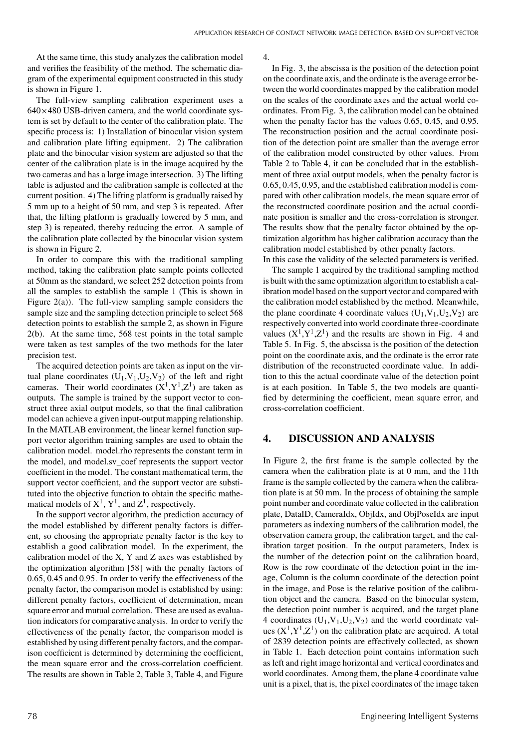At the same time, this study analyzes the calibration model and verifies the feasibility of the method. The schematic diagram of the experimental equipment constructed in this study is shown in Figure 1.

The full-view sampling calibration experiment uses a  $640\times480$  USB-driven camera, and the world coordinate system is set by default to the center of the calibration plate. The specific process is: 1) Installation of binocular vision system and calibration plate lifting equipment. 2) The calibration plate and the binocular vision system are adjusted so that the center of the calibration plate is in the image acquired by the two cameras and has a large image intersection. 3) The lifting table is adjusted and the calibration sample is collected at the current position. 4) The lifting platform is gradually raised by 5 mm up to a height of 50 mm, and step 3 is repeated. After that, the lifting platform is gradually lowered by 5 mm, and step 3) is repeated, thereby reducing the error. A sample of the calibration plate collected by the binocular vision system is shown in Figure 2.

In order to compare this with the traditional sampling method, taking the calibration plate sample points collected at 50mm as the standard, we select 252 detection points from all the samples to establish the sample 1 (This is shown in Figure  $2(a)$ ). The full-view sampling sample considers the sample size and the sampling detection principle to select 568 detection points to establish the sample 2, as shown in Figure 2(b). At the same time, 568 test points in the total sample were taken as test samples of the two methods for the later precision test.

The acquired detection points are taken as input on the virtual plane coordinates  $(U_1, V_1, U_2, V_2)$  of the left and right cameras. Their world coordinates  $(X^1, Y^1, Z^1)$  are taken as outputs. The sample is trained by the support vector to construct three axial output models, so that the final calibration model can achieve a given input-output mapping relationship. In the MATLAB environment, the linear kernel function support vector algorithm training samples are used to obtain the calibration model. model.rho represents the constant term in the model, and model.sv\_coef represents the support vector coefficient in the model. The constant mathematical term, the support vector coefficient, and the support vector are substituted into the objective function to obtain the specific mathematical models of  $X^1$ ,  $Y^1$ , and  $Z^1$ , respectively.

In the support vector algorithm, the prediction accuracy of the model established by different penalty factors is different, so choosing the appropriate penalty factor is the key to establish a good calibration model. In the experiment, the calibration model of the X, Y and Z axes was established by the optimization algorithm [58] with the penalty factors of 0.65, 0.45 and 0.95. In order to verify the effectiveness of the penalty factor, the comparison model is established by using: different penalty factors, coefficient of determination, mean square error and mutual correlation. These are used as evaluation indicators for comparative analysis. In order to verify the effectiveness of the penalty factor, the comparison model is established by using different penalty factors, and the comparison coefficient is determined by determining the coefficient, the mean square error and the cross-correlation coefficient. The results are shown in Table 2, Table 3, Table 4, and Figure

4.

In Fig. 3, the abscissa is the position of the detection point on the coordinate axis, and the ordinate is the average error between the world coordinates mapped by the calibration model on the scales of the coordinate axes and the actual world coordinates. From Fig. 3, the calibration model can be obtained when the penalty factor has the values 0.65, 0.45, and 0.95. The reconstruction position and the actual coordinate position of the detection point are smaller than the average error of the calibration model constructed by other values. From Table 2 to Table 4, it can be concluded that in the establishment of three axial output models, when the penalty factor is 0.65, 0.45, 0.95, and the established calibration model is compared with other calibration models, the mean square error of the reconstructed coordinate position and the actual coordinate position is smaller and the cross-correlation is stronger. The results show that the penalty factor obtained by the optimization algorithm has higher calibration accuracy than the calibration model established by other penalty factors. In this case the validity of the selected parameters is verified.

The sample 1 acquired by the traditional sampling method is built with the same optimization algorithm to establish a calibration model based on the support vector and compared with the calibration model established by the method. Meanwhile, the plane coordinate 4 coordinate values  $(U_1, V_1, U_2, V_2)$  are respectively converted into world coordinate three-coordinate values  $(X^1, Y^1, Z^1)$  and the results are shown in Fig. 4 and Table 5. In Fig. 5, the abscissa is the position of the detection point on the coordinate axis, and the ordinate is the error rate distribution of the reconstructed coordinate value. In addition to this the actual coordinate value of the detection point is at each position. In Table 5, the two models are quantified by determining the coefficient, mean square error, and cross-correlation coefficient.

## **4. DISCUSSION AND ANALYSIS**

In Figure 2, the first frame is the sample collected by the camera when the calibration plate is at 0 mm, and the 11th frame is the sample collected by the camera when the calibration plate is at 50 mm. In the process of obtaining the sample point number and coordinate value collected in the calibration plate, DataID, CameraIdx, ObjIdx, and ObjPoseIdx are input parameters as indexing numbers of the calibration model, the observation camera group, the calibration target, and the calibration target position. In the output parameters, Index is the number of the detection point on the calibration board, Row is the row coordinate of the detection point in the image, Column is the column coordinate of the detection point in the image, and Pose is the relative position of the calibration object and the camera. Based on the binocular system, the detection point number is acquired, and the target plane 4 coordinates  $(U_1, V_1, U_2, V_2)$  and the world coordinate values  $(X^1, Y^1, Z^1)$  on the calibration plate are acquired. A total of 2839 detection points are effectively collected, as shown in Table 1. Each detection point contains information such as left and right image horizontal and vertical coordinates and world coordinates. Among them, the plane 4 coordinate value unit is a pixel, that is, the pixel coordinates of the image taken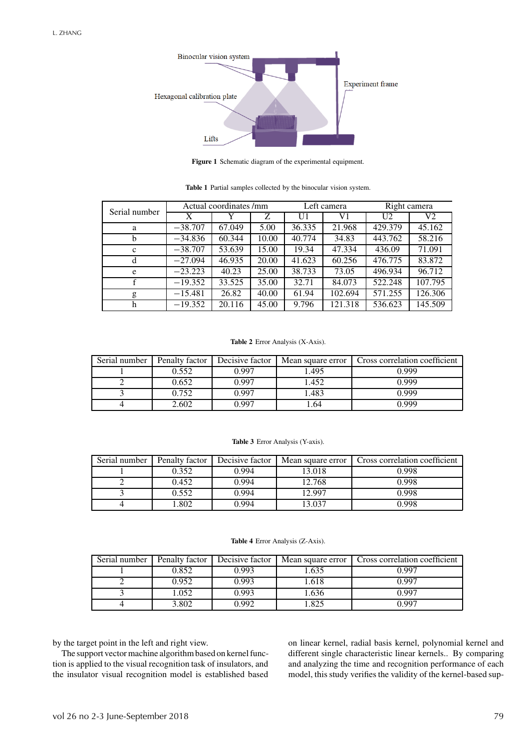

**Figure 1** Schematic diagram of the experimental equipment.

Serial number  $\begin{array}{|l|c|c|c|c|c|}\n\hline\n\text{Actual coordinates } / \text{mm} & \text{Left camera} & \text{Right camera} \\
\hline\nX & Y & Z & U1 & V1 & U2 & V2\n\end{array}$ X | Y | Z | U1 | V1 | U2 | V2 a −38.707 67.049 5.00 36.335 21.968 429.379 45.162 b −34.836 60.344 10.00 40.774 34.83 443.762 58.216 c | −38.707 | 53.639 | 15.00 | 19.34 | 47.334 | 436.09 | 71.091 d | −27.094 | 46.935 | 20.00 | 41.623 | 60.256 | 476.775 | 83.872 e | −23.223 | 40.23 | 25.00 | 38.733 | 73.05 | 496.934 | 96.712 f −19.352 33.525 35.00 32.71 84.073 522.248 107.795 g −15.481 | 26.82 | 40.00 | 61.94 | 102.694 | 571.255 | 126.306 h −19.352 | 20.116 | 45.00 | 9.796 | 121.318 | 536.623 | 145.509

**Table 1** Partial samples collected by the binocular vision system.

#### **Table 2** Error Analysis (X-Axis).

| Serial number | Penalty factor | Decisive factor | Mean square error | Cross correlation coefficient |
|---------------|----------------|-----------------|-------------------|-------------------------------|
|               | 0.552          | 0.997           | .495              | 0.999                         |
|               | 0.652          | 0.997           | .452              | 0.999                         |
|               | 0.752          | 0.997           | .483              | 0.999                         |
|               | 2.602          | በ 997           | .64               | N 999                         |

### **Table 3** Error Analysis (Y-axis).

| Serial number | Penalty factor | Decisive factor | Mean square error | Cross correlation coefficient |
|---------------|----------------|-----------------|-------------------|-------------------------------|
|               | 0.352          | 0.994           | 13.018            | 0.998                         |
|               | 0.452          | 0.994           | 12.768            | 0.998                         |
|               | 0.552          | 0.994           | 12.997            | 0.998                         |
|               | .802           | 0.994           | 13.037            | 0.998                         |

#### **Table 4** Error Analysis (Z-Axis).

| Serial number | Penalty factor | Decisive factor |       | Mean square error   Cross correlation coefficient |
|---------------|----------------|-----------------|-------|---------------------------------------------------|
|               | 0.852          | 0.993           | . 635 | በ 997                                             |
|               | 0.952          | 0.993           | 1.618 | 0.997                                             |
|               | 1.052          | 0.993           | 1.636 | 0.997                                             |
|               | 3.802          | 0.992           | .825  | በ 997                                             |

by the target point in the left and right view.

The support vector machine algorithm based on kernel function is applied to the visual recognition task of insulators, and the insulator visual recognition model is established based

on linear kernel, radial basis kernel, polynomial kernel and different single characteristic linear kernels.. By comparing and analyzing the time and recognition performance of each model, this study verifies the validity of the kernel-based sup-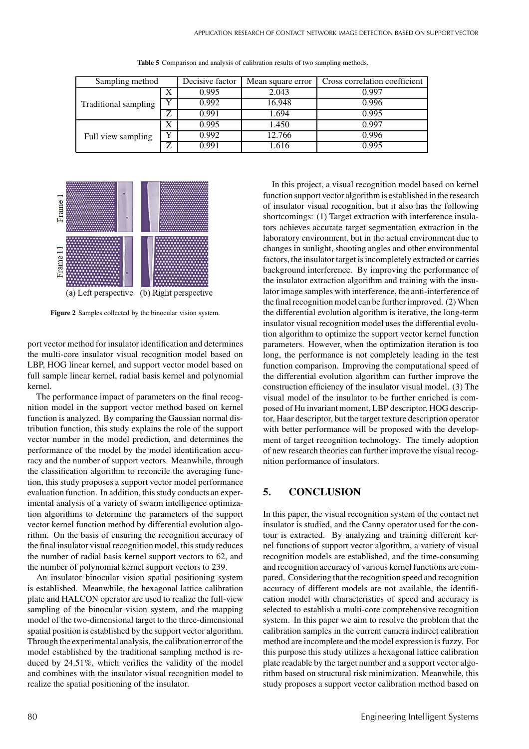| Sampling method      |              | Decisive factor | Mean square error | Cross correlation coefficient |
|----------------------|--------------|-----------------|-------------------|-------------------------------|
| Traditional sampling | X            | 0.995           | 2.043             | 0.997                         |
|                      | v            | 0.992           | 16.948            | 0.996                         |
|                      | $\mathbf{z}$ | 0.991           | 1.694             | 0.995                         |
| Full view sampling   | X            | 0.995           | 1.450             | 0.997                         |
|                      | v            | 0.992           | 12.766            | 0.996                         |
|                      | 7            | 0.991           | 1.616             | 0.995                         |

**Table 5** Comparison and analysis of calibration results of two sampling methods.



**Figure 2** Samples collected by the binocular vision system.

port vector method for insulator identification and determines the multi-core insulator visual recognition model based on LBP, HOG linear kernel, and support vector model based on full sample linear kernel, radial basis kernel and polynomial kernel.

The performance impact of parameters on the final recognition model in the support vector method based on kernel function is analyzed. By comparing the Gaussian normal distribution function, this study explains the role of the support vector number in the model prediction, and determines the performance of the model by the model identification accuracy and the number of support vectors. Meanwhile, through the classification algorithm to reconcile the averaging function, this study proposes a support vector model performance evaluation function. In addition, this study conducts an experimental analysis of a variety of swarm intelligence optimization algorithms to determine the parameters of the support vector kernel function method by differential evolution algorithm. On the basis of ensuring the recognition accuracy of the final insulator visual recognition model, this study reduces the number of radial basis kernel support vectors to 62, and the number of polynomial kernel support vectors to 239.

An insulator binocular vision spatial positioning system is established. Meanwhile, the hexagonal lattice calibration plate and HALCON operator are used to realize the full-view sampling of the binocular vision system, and the mapping model of the two-dimensional target to the three-dimensional spatial position is established by the support vector algorithm. Through the experimental analysis, the calibration error of the model established by the traditional sampling method is reduced by 24.51%, which verifies the validity of the model and combines with the insulator visual recognition model to realize the spatial positioning of the insulator.

In this project, a visual recognition model based on kernel function support vector algorithm is established in the research of insulator visual recognition, but it also has the following shortcomings: (1) Target extraction with interference insulators achieves accurate target segmentation extraction in the laboratory environment, but in the actual environment due to changes in sunlight, shooting angles and other environmental factors, the insulator target is incompletely extracted or carries background interference. By improving the performance of the insulator extraction algorithm and training with the insulator image samples with interference, the anti-interference of the final recognition model can be further improved. (2) When the differential evolution algorithm is iterative, the long-term insulator visual recognition model uses the differential evolution algorithm to optimize the support vector kernel function parameters. However, when the optimization iteration is too long, the performance is not completely leading in the test function comparison. Improving the computational speed of the differential evolution algorithm can further improve the construction efficiency of the insulator visual model. (3) The visual model of the insulator to be further enriched is composed of Hu invariant moment, LBP descriptor, HOG descriptor, Haar descriptor, but the target texture description operator with better performance will be proposed with the development of target recognition technology. The timely adoption of new research theories can further improve the visual recognition performance of insulators.

# **5. CONCLUSION**

In this paper, the visual recognition system of the contact net insulator is studied, and the Canny operator used for the contour is extracted. By analyzing and training different kernel functions of support vector algorithm, a variety of visual recognition models are established, and the time-consuming and recognition accuracy of various kernel functions are compared. Considering that the recognition speed and recognition accuracy of different models are not available, the identification model with characteristics of speed and accuracy is selected to establish a multi-core comprehensive recognition system. In this paper we aim to resolve the problem that the calibration samples in the current camera indirect calibration method are incomplete and the model expression is fuzzy. For this purpose this study utilizes a hexagonal lattice calibration plate readable by the target number and a support vector algorithm based on structural risk minimization. Meanwhile, this study proposes a support vector calibration method based on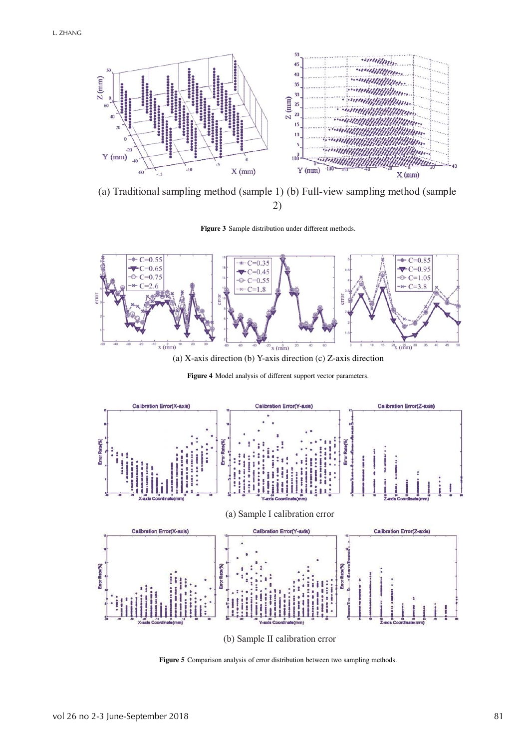

(a) Traditional sampling method (sample 1) (b) Full-view sampling method (sample 2)

**Figure 3** Sample distribution under different methods.



(a) X-axis direction (b) Y-axis direction (c) Z-axis direction

**Figure 4** Model analysis of different support vector parameters.



**Figure 5** Comparison analysis of error distribution between two sampling methods.